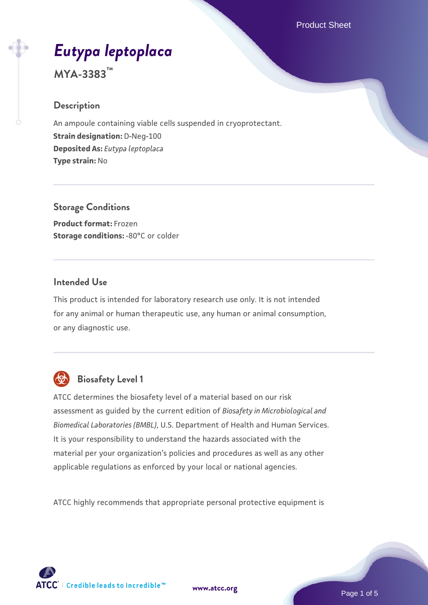# *[Eutypa leptoplaca](https://www.atcc.org/products/mya-3383)*

**MYA-3383™**

# **Description**

An ampoule containing viable cells suspended in cryoprotectant. **Strain designation:** D-Neg-100 **Deposited As:** *Eutypa leptoplaca* **Type strain:** No

**Storage Conditions Product format:** Frozen **Storage conditions: -80°C or colder** 

# **Intended Use**

This product is intended for laboratory research use only. It is not intended for any animal or human therapeutic use, any human or animal consumption, or any diagnostic use.



# **Biosafety Level 1**

ATCC determines the biosafety level of a material based on our risk assessment as guided by the current edition of *Biosafety in Microbiological and Biomedical Laboratories (BMBL)*, U.S. Department of Health and Human Services. It is your responsibility to understand the hazards associated with the material per your organization's policies and procedures as well as any other applicable regulations as enforced by your local or national agencies.

ATCC highly recommends that appropriate personal protective equipment is

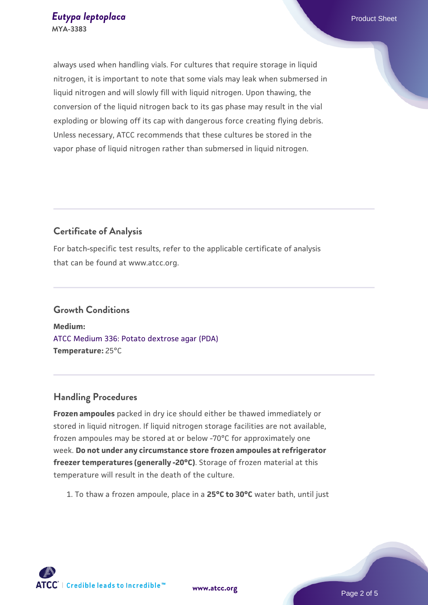always used when handling vials. For cultures that require storage in liquid nitrogen, it is important to note that some vials may leak when submersed in liquid nitrogen and will slowly fill with liquid nitrogen. Upon thawing, the conversion of the liquid nitrogen back to its gas phase may result in the vial exploding or blowing off its cap with dangerous force creating flying debris. Unless necessary, ATCC recommends that these cultures be stored in the vapor phase of liquid nitrogen rather than submersed in liquid nitrogen.

# **Certificate of Analysis**

For batch-specific test results, refer to the applicable certificate of analysis that can be found at www.atcc.org.

# **Growth Conditions**

**Medium:**  [ATCC Medium 336: Potato dextrose agar \(PDA\)](https://www.atcc.org/-/media/product-assets/documents/microbial-media-formulations/3/3/6/atcc-medium-336.pdf?rev=d9160ad44d934cd8b65175461abbf3b9) **Temperature:** 25°C

# **Handling Procedures**

**Frozen ampoules** packed in dry ice should either be thawed immediately or stored in liquid nitrogen. If liquid nitrogen storage facilities are not available, frozen ampoules may be stored at or below -70°C for approximately one week. **Do not under any circumstance store frozen ampoules at refrigerator freezer temperatures (generally -20°C)**. Storage of frozen material at this temperature will result in the death of the culture.

1. To thaw a frozen ampoule, place in a **25°C to 30°C** water bath, until just

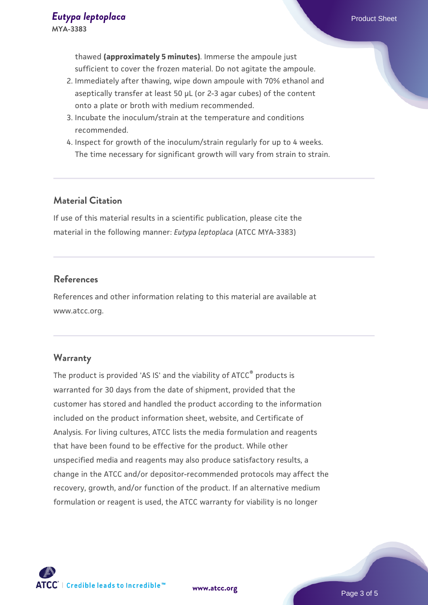thawed **(approximately 5 minutes)**. Immerse the ampoule just sufficient to cover the frozen material. Do not agitate the ampoule.

- 2. Immediately after thawing, wipe down ampoule with 70% ethanol and aseptically transfer at least 50 µL (or 2-3 agar cubes) of the content onto a plate or broth with medium recommended.
- 3. Incubate the inoculum/strain at the temperature and conditions recommended.
- 4. Inspect for growth of the inoculum/strain regularly for up to 4 weeks. The time necessary for significant growth will vary from strain to strain.

# **Material Citation**

If use of this material results in a scientific publication, please cite the material in the following manner: *Eutypa leptoplaca* (ATCC MYA-3383)

# **References**

References and other information relating to this material are available at www.atcc.org.

# **Warranty**

The product is provided 'AS IS' and the viability of ATCC® products is warranted for 30 days from the date of shipment, provided that the customer has stored and handled the product according to the information included on the product information sheet, website, and Certificate of Analysis. For living cultures, ATCC lists the media formulation and reagents that have been found to be effective for the product. While other unspecified media and reagents may also produce satisfactory results, a change in the ATCC and/or depositor-recommended protocols may affect the recovery, growth, and/or function of the product. If an alternative medium formulation or reagent is used, the ATCC warranty for viability is no longer



**[www.atcc.org](http://www.atcc.org)**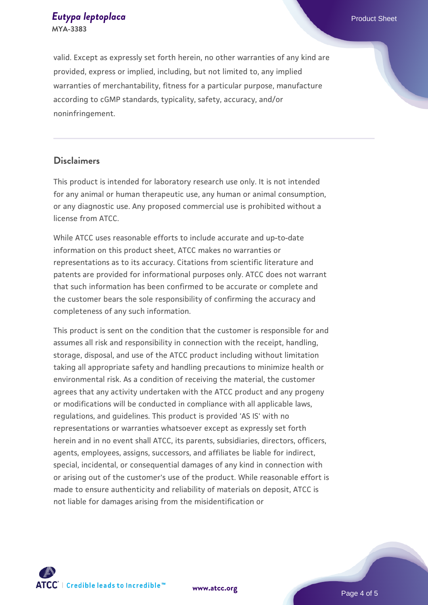#### *[Eutypa leptoplaca](https://www.atcc.org/products/mya-3383)* Product Sheet **MYA-3383**

valid. Except as expressly set forth herein, no other warranties of any kind are provided, express or implied, including, but not limited to, any implied warranties of merchantability, fitness for a particular purpose, manufacture according to cGMP standards, typicality, safety, accuracy, and/or noninfringement.

#### **Disclaimers**

This product is intended for laboratory research use only. It is not intended for any animal or human therapeutic use, any human or animal consumption, or any diagnostic use. Any proposed commercial use is prohibited without a license from ATCC.

While ATCC uses reasonable efforts to include accurate and up-to-date information on this product sheet, ATCC makes no warranties or representations as to its accuracy. Citations from scientific literature and patents are provided for informational purposes only. ATCC does not warrant that such information has been confirmed to be accurate or complete and the customer bears the sole responsibility of confirming the accuracy and completeness of any such information.

This product is sent on the condition that the customer is responsible for and assumes all risk and responsibility in connection with the receipt, handling, storage, disposal, and use of the ATCC product including without limitation taking all appropriate safety and handling precautions to minimize health or environmental risk. As a condition of receiving the material, the customer agrees that any activity undertaken with the ATCC product and any progeny or modifications will be conducted in compliance with all applicable laws, regulations, and guidelines. This product is provided 'AS IS' with no representations or warranties whatsoever except as expressly set forth herein and in no event shall ATCC, its parents, subsidiaries, directors, officers, agents, employees, assigns, successors, and affiliates be liable for indirect, special, incidental, or consequential damages of any kind in connection with or arising out of the customer's use of the product. While reasonable effort is made to ensure authenticity and reliability of materials on deposit, ATCC is not liable for damages arising from the misidentification or



**[www.atcc.org](http://www.atcc.org)**

Page 4 of 5